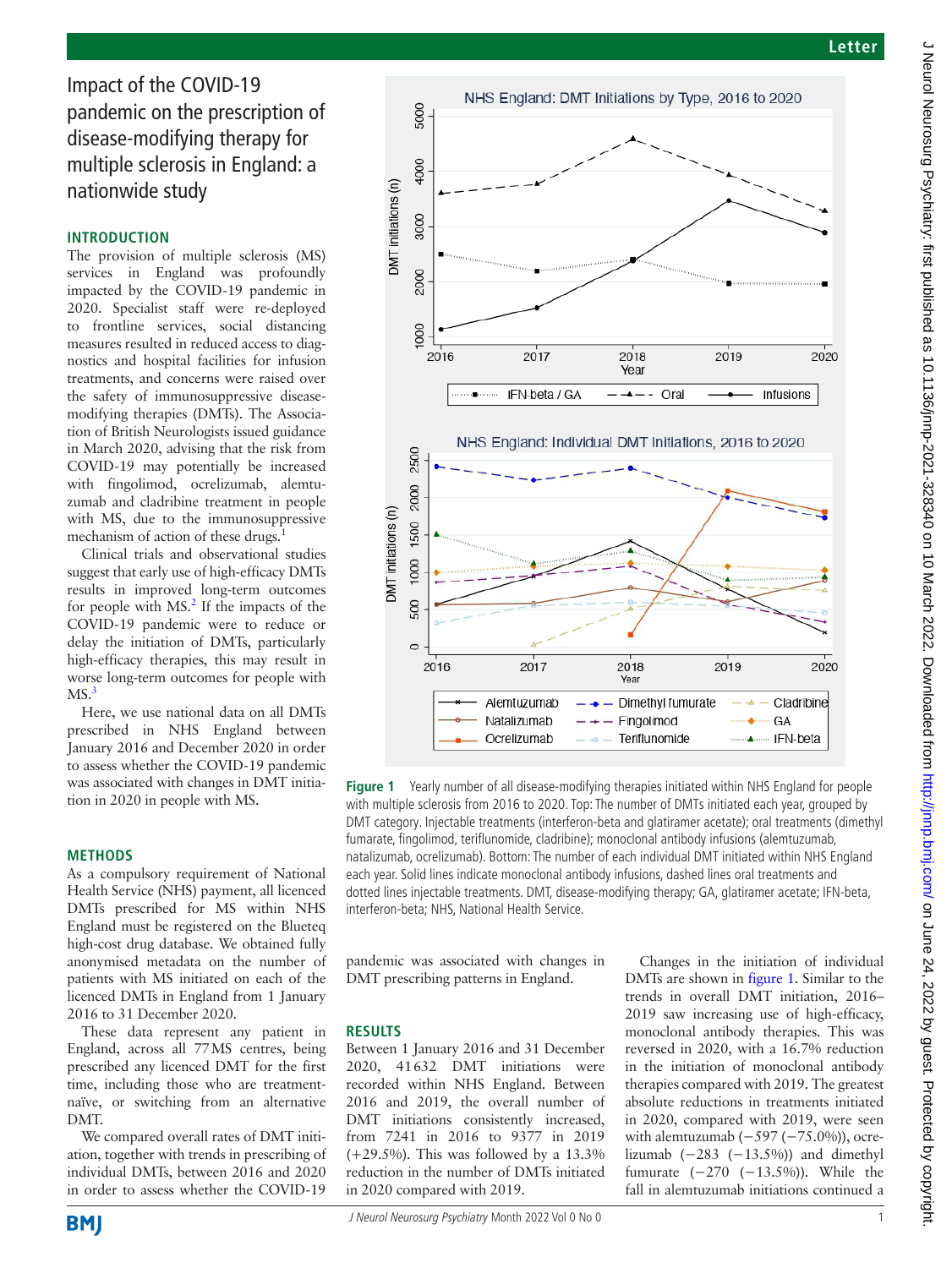Impact of the COVID-19 pandemic on the prescription of disease-modifying therapy for multiple sclerosis in England: a nationwide study

## **INTRODUCTION**

The provision of multiple sclerosis (MS) services in England was profoundly impacted by the COVID-19 pandemic in 2020. Specialist staff were re-deployed to frontline services, social distancing measures resulted in reduced access to diagnostics and hospital facilities for infusion treatments, and concerns were raised over the safety of immunosuppressive diseasemodifying therapies (DMTs). The Association of British Neurologists issued guidance in March 2020, advising that the risk from COVID-19 may potentially be increased with fingolimod, ocrelizumab, alemtuzumab and cladribine treatment in people with MS, due to the immunosuppressive mechanism of action of these drugs.

Clinical trials and observational studies suggest that early use of high-efficacy DMTs results in improved long-term outcomes for people with  $MS<sup>2</sup>$  $MS<sup>2</sup>$  $MS<sup>2</sup>$ . If the impacts of the COVID-19 pandemic were to reduce or delay the initiation of DMTs, particularly high-efficacy therapies, this may result in worse long-term outcomes for people with  $MS.<sup>3</sup>$ 

Here, we use national data on all DMTs prescribed in NHS England between January 2016 and December 2020 in order to assess whether the COVID-19 pandemic was associated with changes in DMT initiation in 2020 in people with MS.

## **METHODS**

As a compulsory requirement of National Health Service (NHS) payment, all licenced DMTs prescribed for MS within NHS England must be registered on the Blueteq high-cost drug database. We obtained fully anonymised metadata on the number of patients with MS initiated on each of the licenced DMTs in England from 1 January 2016 to 31 December 2020.

These data represent any patient in England, across all 77MS centres, being prescribed any licenced DMT for the first time, including those who are treatmentnaïve, or switching from an alternative DMT.

We compared overall rates of DMT initiation, together with trends in prescribing of individual DMTs, between 2016 and 2020 in order to assess whether the COVID-19



<span id="page-0-0"></span>**Figure 1** Yearly number of all disease-modifying therapies initiated within NHS England for people with multiple sclerosis from 2016 to 2020. Top: The number of DMTs initiated each year, grouped by DMT category. Injectable treatments (interferon-beta and glatiramer acetate); oral treatments (dimethyl fumarate, fingolimod, teriflunomide, cladribine); monoclonal antibody infusions (alemtuzumab, natalizumab, ocrelizumab). Bottom: The number of each individual DMT initiated within NHS England each year. Solid lines indicate monoclonal antibody infusions, dashed lines oral treatments and dotted lines injectable treatments. DMT, disease-modifying therapy; GA, glatiramer acetate; IFN-beta, interferon-beta; NHS, National Health Service.

pandemic was associated with changes in DMT prescribing patterns in England.

# **RESULTS**

Between 1 January 2016 and 31 December 2020, 41632 DMT initiations were recorded within NHS England. Between 2016 and 2019, the overall number of DMT initiations consistently increased, from 7241 in 2016 to 9377 in 2019  $(+29.5\%)$ . This was followed by a 13.3% reduction in the number of DMTs initiated in 2020 compared with 2019.

Changes in the initiation of individual DMTs are shown in [figure](#page-0-0) 1. Similar to the trends in overall DMT initiation, 2016– 2019 saw increasing use of high-efficacy, monoclonal antibody therapies. This was reversed in 2020, with a 16.7% reduction in the initiation of monoclonal antibody therapies compared with 2019. The greatest absolute reductions in treatments initiated in 2020, compared with 2019, were seen with alemtuzumab (−597 (−75.0%)), ocrelizumab  $(-283 (-13.5%)$  and dimethyl fumurate (−270 (−13.5%)). While the fall in alemtuzumab initiations continued a